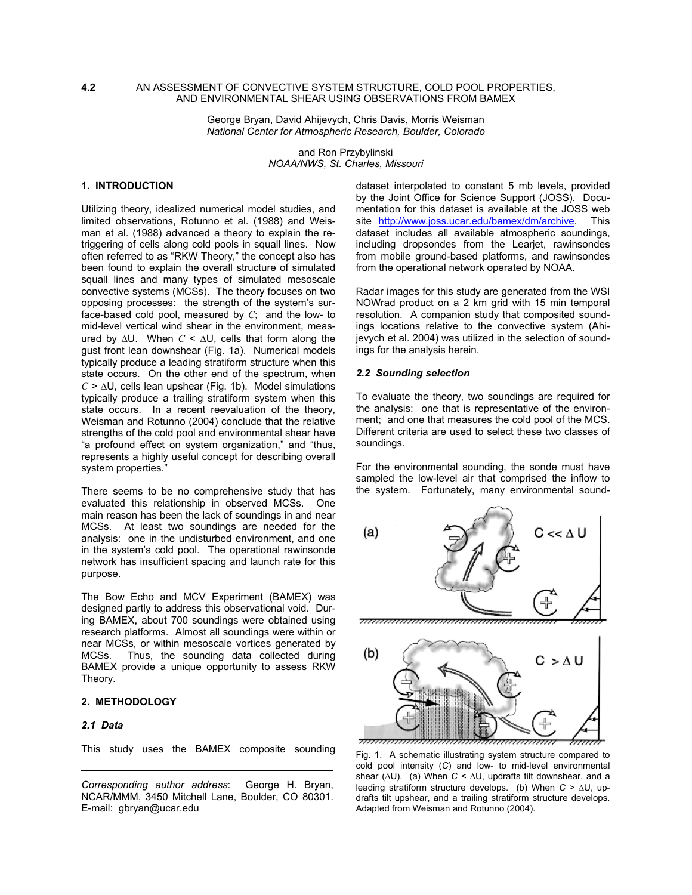### **4.2** AN ASSESSMENT OF CONVECTIVE SYSTEM STRUCTURE, COLD POOL PROPERTIES, AND ENVIRONMENTAL SHEAR USING OBSERVATIONS FROM BAMEX

George Bryan, David Ahijevych, Chris Davis, Morris Weisman *National Center for Atmospheric Research, Boulder, Colorado* 

> and Ron Przybylinski *NOAA/NWS, St. Charles, Missouri*

# **1. INTRODUCTION**

Utilizing theory, idealized numerical model studies, and limited observations, Rotunno et al. (1988) and Weisman et al. (1988) advanced a theory to explain the retriggering of cells along cold pools in squall lines. Now often referred to as "RKW Theory," the concept also has been found to explain the overall structure of simulated squall lines and many types of simulated mesoscale convective systems (MCSs). The theory focuses on two opposing processes: the strength of the system's surface-based cold pool, measured by *C*; and the low- to mid-level vertical wind shear in the environment, measured by ∆U. When *C* < ∆U, cells that form along the gust front lean downshear (Fig. 1a). Numerical models typically produce a leading stratiform structure when this state occurs. On the other end of the spectrum, when *C* > ∆U, cells lean upshear (Fig. 1b). Model simulations typically produce a trailing stratiform system when this state occurs. In a recent reevaluation of the theory, Weisman and Rotunno (2004) conclude that the relative strengths of the cold pool and environmental shear have "a profound effect on system organization," and "thus, represents a highly useful concept for describing overall system properties."

There seems to be no comprehensive study that has evaluated this relationship in observed MCSs. One main reason has been the lack of soundings in and near MCSs. At least two soundings are needed for the analysis: one in the undisturbed environment, and one in the system's cold pool. The operational rawinsonde network has insufficient spacing and launch rate for this purpose.

The Bow Echo and MCV Experiment (BAMEX) was designed partly to address this observational void. During BAMEX, about 700 soundings were obtained using research platforms. Almost all soundings were within or near MCSs, or within mesoscale vortices generated by MCSs. Thus, the sounding data collected during BAMEX provide a unique opportunity to assess RKW Theory.

# **2. METHODOLOGY**

#### *2.1 Data*

This study uses the BAMEX composite sounding

dataset interpolated to constant 5 mb levels, provided by the Joint Office for Science Support (JOSS). Documentation for this dataset is available at the JOSS web site <http://www.joss.ucar.edu/bamex/dm/archive>. This dataset includes all available atmospheric soundings, including dropsondes from the Learjet, rawinsondes from mobile ground-based platforms, and rawinsondes from the operational network operated by NOAA.

Radar images for this study are generated from the WSI NOWrad product on a 2 km grid with 15 min temporal resolution. A companion study that composited soundings locations relative to the convective system (Ahijevych et al. 2004) was utilized in the selection of soundings for the analysis herein.

### *2.2 Sounding selection*

To evaluate the theory, two soundings are required for the analysis: one that is representative of the environment; and one that measures the cold pool of the MCS. Different criteria are used to select these two classes of soundings.

For the environmental sounding, the sonde must have sampled the low-level air that comprised the inflow to the system. Fortunately, many environmental sound-



Fig. 1. A schematic illustrating system structure compared to cold pool intensity (*C*) and low- to mid-level environmental shear (∆U). (a) When *C* < ∆U, updrafts tilt downshear, and a leading stratiform structure develops. (b) When *C* > ∆U, updrafts tilt upshear, and a trailing stratiform structure develops. Adapted from Weisman and Rotunno (2004).

*Corresponding author address*: George H. Bryan, NCAR/MMM, 3450 Mitchell Lane, Boulder, CO 80301. E-mail: gbryan@ucar.edu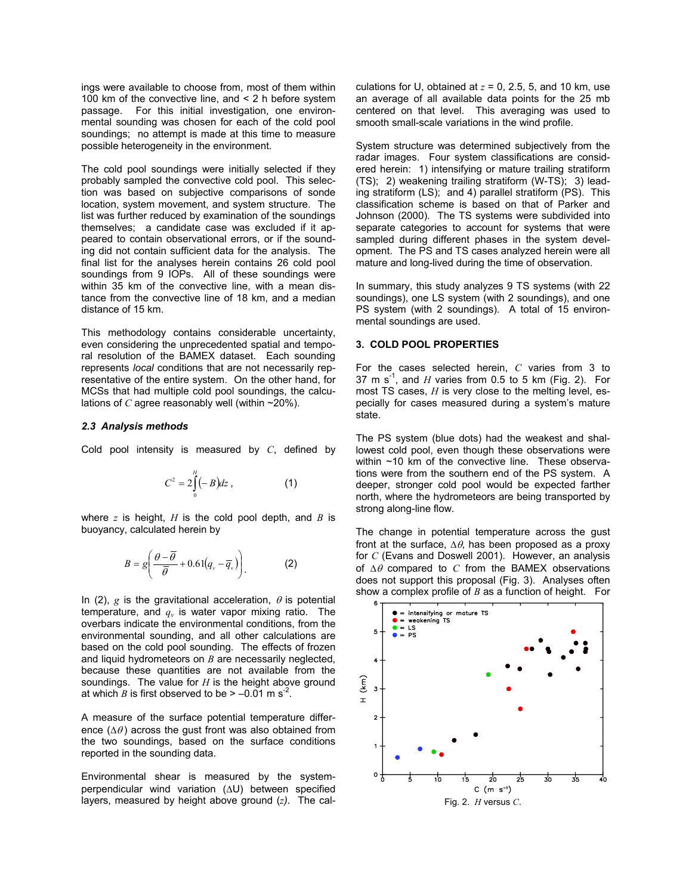ings were available to choose from, most of them within 100 km of the convective line, and < 2 h before system passage. For this initial investigation, one environmental sounding was chosen for each of the cold pool soundings; no attempt is made at this time to measure possible heterogeneity in the environment.

The cold pool soundings were initially selected if they probably sampled the convective cold pool. This selection was based on subjective comparisons of sonde location, system movement, and system structure. The list was further reduced by examination of the soundings themselves; a candidate case was excluded if it appeared to contain observational errors, or if the sounding did not contain sufficient data for the analysis. The final list for the analyses herein contains 26 cold pool soundings from 9 IOPs. All of these soundings were within 35 km of the convective line, with a mean distance from the convective line of 18 km, and a median distance of 15 km.

This methodology contains considerable uncertainty, even considering the unprecedented spatial and temporal resolution of the BAMEX dataset. Each sounding represents *local* conditions that are not necessarily representative of the entire system. On the other hand, for MCSs that had multiple cold pool soundings, the calculations of *C* agree reasonably well (within  $\sim$ 20%).

### *2.3 Analysis methods*

Cold pool intensity is measured by *C*, defined by

$$
C^2 = 2\int_0^H (-B)dz , \qquad (1)
$$

where *z* is height, *H* is the cold pool depth, and *B* is buoyancy, calculated herein by

$$
B = g\left(\frac{\theta - \overline{\theta}}{\overline{\theta}} + 0.61(q_v - \overline{q}_v)\right).
$$
 (2)

In (2),  $g$  is the gravitational acceleration,  $\theta$  is potential temperature, and  $q_v$  is water vapor mixing ratio. The overbars indicate the environmental conditions, from the environmental sounding, and all other calculations are based on the cold pool sounding. The effects of frozen and liquid hydrometeors on *B* are necessarily neglected, because these quantities are not available from the soundings. The value for *H* is the height above ground at which *B* is first observed to be  $> -0.01$  m s<sup>-2</sup>.

A measure of the surface potential temperature difference ( $\Delta\theta$ ) across the qust front was also obtained from the two soundings, based on the surface conditions reported in the sounding data.

Environmental shear is measured by the systemperpendicular wind variation (∆U) between specified layers, measured by height above ground (*z)*. The calculations for U, obtained at  $z = 0$ , 2.5, 5, and 10 km, use an average of all available data points for the 25 mb centered on that level. This averaging was used to smooth small-scale variations in the wind profile.

System structure was determined subjectively from the radar images. Four system classifications are considered herein: 1) intensifying or mature trailing stratiform (TS); 2) weakening trailing stratiform (W-TS); 3) leading stratiform (LS); and 4) parallel stratiform (PS). This classification scheme is based on that of Parker and Johnson (2000). The TS systems were subdivided into separate categories to account for systems that were sampled during different phases in the system development. The PS and TS cases analyzed herein were all mature and long-lived during the time of observation.

In summary, this study analyzes 9 TS systems (with 22 soundings), one LS system (with 2 soundings), and one PS system (with 2 soundings). A total of 15 environmental soundings are used.

# **3. COLD POOL PROPERTIES**

For the cases selected herein, *C* varies from 3 to 37 m s<sup>-1</sup>, and *H* varies from 0.5 to 5 km (Fig. 2). For most TS cases, *H* is very close to the melting level, especially for cases measured during a system's mature state.

The PS system (blue dots) had the weakest and shallowest cold pool, even though these observations were within ~10 km of the convective line. These observations were from the southern end of the PS system. A deeper, stronger cold pool would be expected farther north, where the hydrometeors are being transported by strong along-line flow.

The change in potential temperature across the gust front at the surface,  $\Delta\theta$ , has been proposed as a proxy for *C* (Evans and Doswell 2001). However, an analysis of ∆θ compared to *C* from the BAMEX observations does not support this proposal (Fig. 3). Analyses often show a complex profile of *B* as a function of height. For

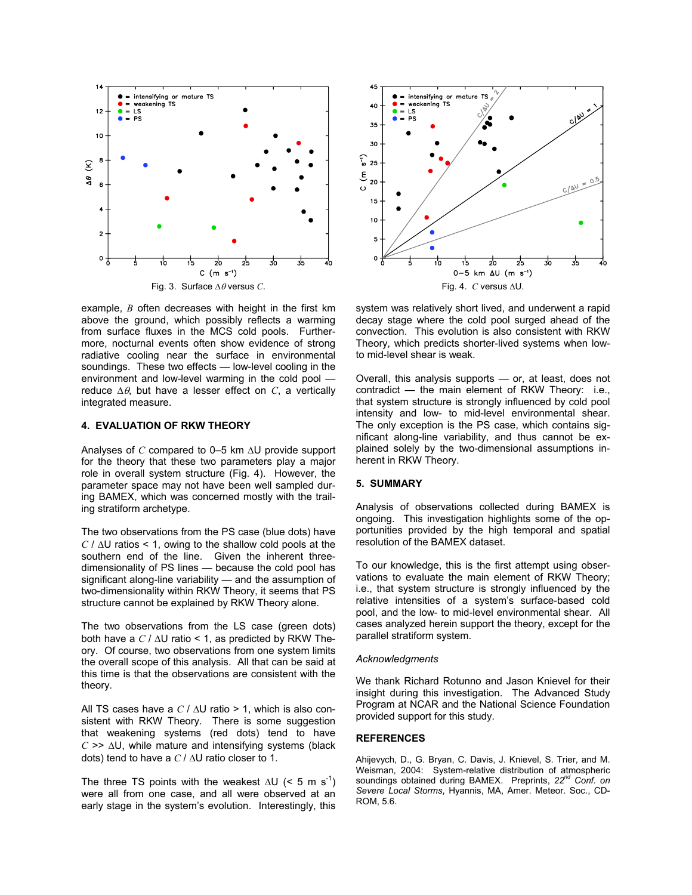

example, *B* often decreases with height in the first km above the ground, which possibly reflects a warming from surface fluxes in the MCS cold pools. Furthermore, nocturnal events often show evidence of strong radiative cooling near the surface in environmental soundings. These two effects — low-level cooling in the environment and low-level warming in the cold pool reduce ∆θ, but have a lesser effect on *C*, a vertically integrated measure.

### **4. EVALUATION OF RKW THEORY**

Analyses of *C* compared to 0–5 km ∆U provide support for the theory that these two parameters play a major role in overall system structure (Fig. 4). However, the parameter space may not have been well sampled during BAMEX, which was concerned mostly with the trailing stratiform archetype.

The two observations from the PS case (blue dots) have *C* / ∆U ratios < 1, owing to the shallow cold pools at the southern end of the line. Given the inherent threedimensionality of PS lines — because the cold pool has significant along-line variability — and the assumption of two-dimensionality within RKW Theory, it seems that PS structure cannot be explained by RKW Theory alone.

The two observations from the LS case (green dots) both have a *C* / ∆U ratio < 1, as predicted by RKW Theory. Of course, two observations from one system limits the overall scope of this analysis. All that can be said at this time is that the observations are consistent with the theory.

All TS cases have a *C* / ∆U ratio > 1, which is also consistent with RKW Theory. There is some suggestion that weakening systems (red dots) tend to have *C* >> ∆U, while mature and intensifying systems (black dots) tend to have a *C* / ∆U ratio closer to 1.

The three TS points with the weakest  $\Delta U$  (< 5 m s<sup>-1</sup>) were all from one case, and all were observed at an early stage in the system's evolution. Interestingly, this



system was relatively short lived, and underwent a rapid decay stage where the cold pool surged ahead of the convection. This evolution is also consistent with RKW Theory, which predicts shorter-lived systems when lowto mid-level shear is weak.

Overall, this analysis supports — or, at least, does not contradict — the main element of RKW Theory: i.e., that system structure is strongly influenced by cold pool intensity and low- to mid-level environmental shear. The only exception is the PS case, which contains significant along-line variability, and thus cannot be explained solely by the two-dimensional assumptions inherent in RKW Theory.

# **5. SUMMARY**

Analysis of observations collected during BAMEX is ongoing. This investigation highlights some of the opportunities provided by the high temporal and spatial resolution of the BAMEX dataset.

To our knowledge, this is the first attempt using observations to evaluate the main element of RKW Theory; i.e., that system structure is strongly influenced by the relative intensities of a system's surface-based cold pool, and the low- to mid-level environmental shear. All cases analyzed herein support the theory, except for the parallel stratiform system.

#### *Acknowledgments*

We thank Richard Rotunno and Jason Knievel for their insight during this investigation. The Advanced Study Program at NCAR and the National Science Foundation provided support for this study.

### **REFERENCES**

Ahijevych, D., G. Bryan, C. Davis, J. Knievel, S. Trier, and M. Weisman, 2004: System-relative distribution of atmospheric soundings obtained during BAMEX. Preprints, *22nd Conf. on Severe Local Storms*, Hyannis, MA, Amer. Meteor. Soc., CD-ROM, 5.6.